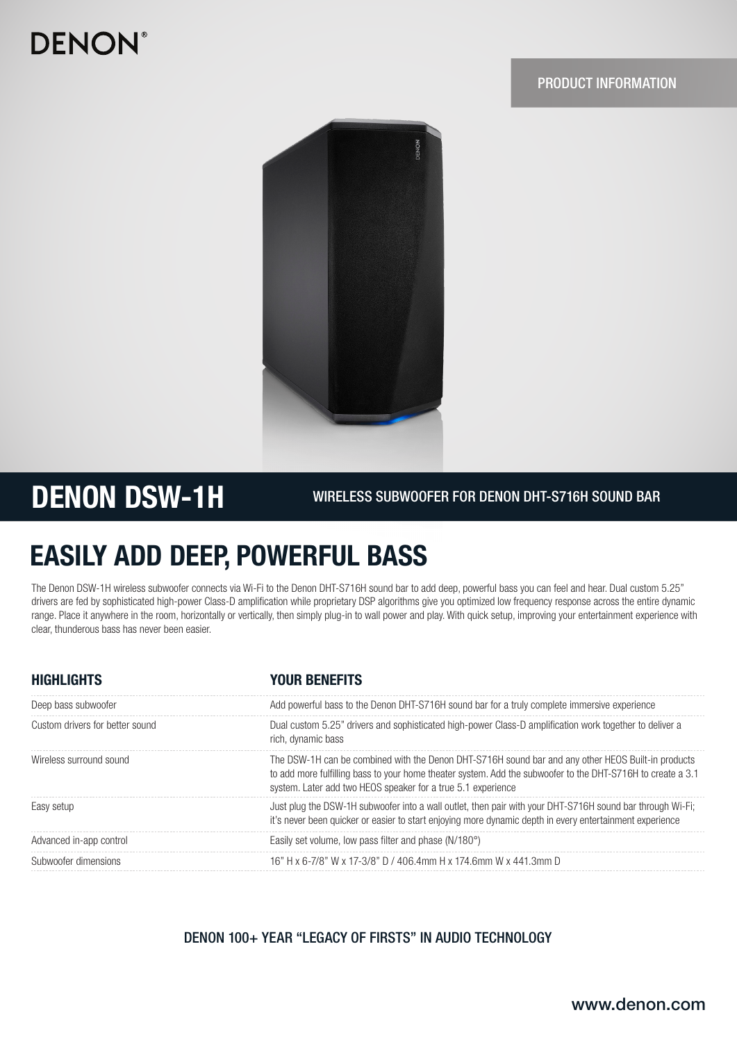# **DENON®**

### PRODUCT INFORMATION



## DENON DSW-1H

WIRELESS SUBWOOFER FOR DENON DHT-S716H SOUND BAR

## EASILY ADD DEEP, POWERFUL BASS

The Denon DSW-1H wireless subwoofer connects via Wi-Fi to the Denon DHT-S716H sound bar to add deep, powerful bass you can feel and hear. Dual custom 5.25" drivers are fed by sophisticated high-power Class-D amplification while proprietary DSP algorithms give you optimized low frequency response across the entire dynamic range. Place it anywhere in the room, horizontally or vertically, then simply plug-in to wall power and play. With quick setup, improving your entertainment experience with clear, thunderous bass has never been easier.

| <b>HIGHLIGHTS</b>               | <b>YOUR BENEFITS</b>                                                                                                                                                                                                                                                              |  |
|---------------------------------|-----------------------------------------------------------------------------------------------------------------------------------------------------------------------------------------------------------------------------------------------------------------------------------|--|
| Deep bass subwoofer             | Add powerful bass to the Denon DHT-S716H sound bar for a truly complete immersive experience                                                                                                                                                                                      |  |
| Custom drivers for better sound | Dual custom 5.25" drivers and sophisticated high-power Class-D amplification work together to deliver a<br>rich, dynamic bass                                                                                                                                                     |  |
| Wireless surround sound         | The DSW-1H can be combined with the Denon DHT-S716H sound bar and any other HEOS Built-in products<br>to add more fulfilling bass to your home theater system. Add the subwoofer to the DHT-S716H to create a 3.1<br>system. Later add two HEOS speaker for a true 5.1 experience |  |
| Easy setup                      | Just plug the DSW-1H subwoofer into a wall outlet, then pair with your DHT-S716H sound bar through Wi-Fi;<br>it's never been quicker or easier to start enjoying more dynamic depth in every entertainment experience                                                             |  |
| Advanced in-app control         | Easily set volume, low pass filter and phase $(N/180^{\circ})$                                                                                                                                                                                                                    |  |
| Subwoofer dimensions            | 16" H x 6-7/8" W x 17-3/8" D / 406.4mm H x 174.6mm W x 441.3mm D                                                                                                                                                                                                                  |  |

### DENON 100+ YEAR "LEGACY OF FIRSTS" IN AUDIO TECHNOLOGY